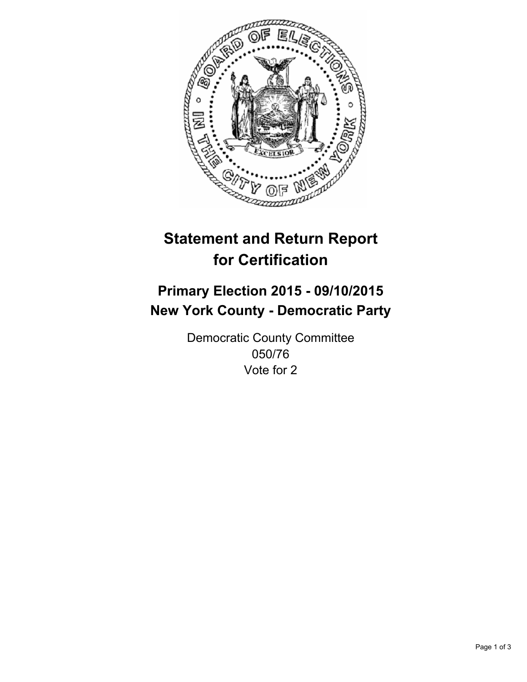

# **Statement and Return Report for Certification**

## **Primary Election 2015 - 09/10/2015 New York County - Democratic Party**

Democratic County Committee 050/76 Vote for 2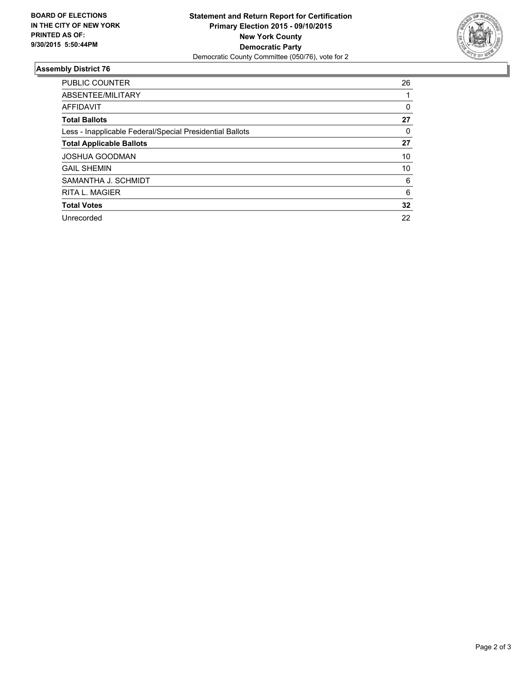

#### **Assembly District 76**

| <b>PUBLIC COUNTER</b>                                    | 26 |
|----------------------------------------------------------|----|
| ABSENTEE/MILITARY                                        |    |
| <b>AFFIDAVIT</b>                                         | 0  |
| <b>Total Ballots</b>                                     | 27 |
| Less - Inapplicable Federal/Special Presidential Ballots | 0  |
| <b>Total Applicable Ballots</b>                          | 27 |
| <b>JOSHUA GOODMAN</b>                                    | 10 |
| <b>GAIL SHEMIN</b>                                       | 10 |
| SAMANTHA J. SCHMIDT                                      | 6  |
| <b>RITA L. MAGIER</b>                                    | 6  |
| <b>Total Votes</b>                                       | 32 |
| Unrecorded                                               | 22 |